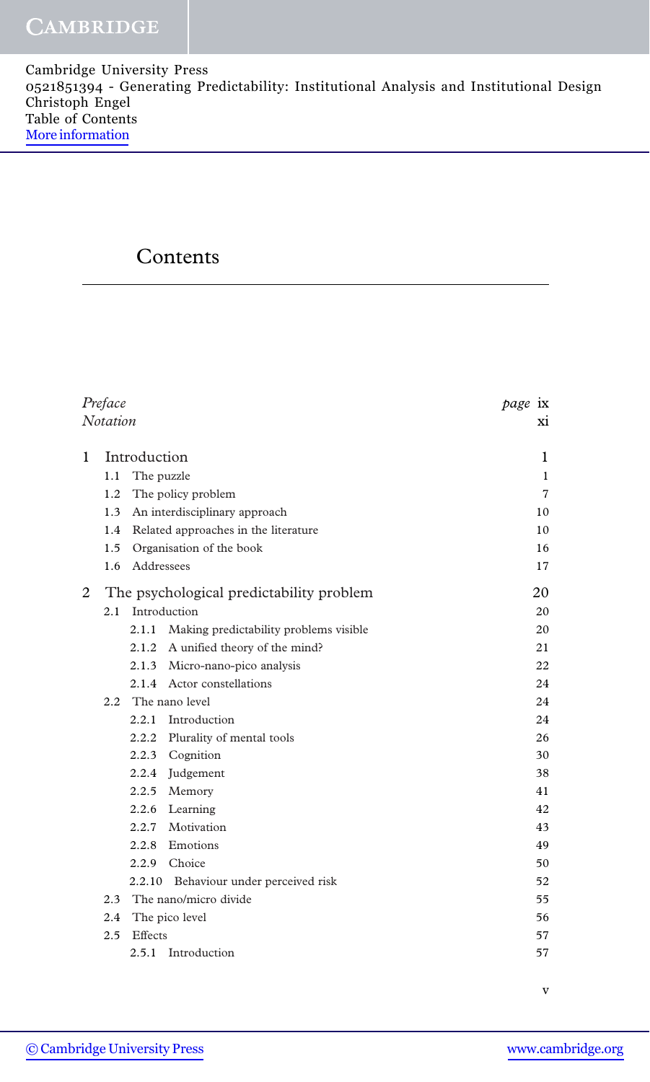Cambridge University Press 0521851394 - Generating Predictability: Institutional Analysis and Institutional Design Christoph Engel Table of Contents [More information](http://www.cambridge.org/0521851394)

## Contents

| Preface |                                             | page ix    |                                        |              |
|---------|---------------------------------------------|------------|----------------------------------------|--------------|
|         | <b>Notation</b>                             |            |                                        | Xİ           |
| 1       | Introduction                                |            |                                        | 1            |
|         | 1.1                                         |            | The puzzle                             | $\mathbf{1}$ |
|         | 1.2                                         |            | The policy problem                     | 7            |
|         | 1.3                                         |            | An interdisciplinary approach          | 10           |
|         | Related approaches in the literature<br>1.4 |            |                                        | 10           |
|         | 1.5<br>Organisation of the book             |            |                                        | 16           |
|         | $1.6^{\circ}$                               | Addressees | 17                                     |              |
| 2       | The psychological predictability problem    |            | 20                                     |              |
|         | 2.1                                         |            | Introduction                           | 20           |
|         |                                             | 2.1.1      | Making predictability problems visible | 20           |
|         |                                             |            | 2.1.2 A unified theory of the mind?    | 21           |
|         |                                             |            | 2.1.3 Micro-nano-pico analysis         | 22           |
|         |                                             |            | 2.1.4 Actor constellations             | 24           |
|         | $2.2^{\circ}$                               |            | The nano level                         | 24           |
|         |                                             | 2.2.1      | Introduction                           | 24           |
|         |                                             |            | 2.2.2 Plurality of mental tools        | 26           |
|         |                                             |            | 2.2.3 Cognition                        | 30           |
|         |                                             |            | 2.2.4 Judgement                        | 38           |
|         |                                             |            | 2.2.5 Memory                           | 41           |
|         |                                             |            | 2.2.6 Learning                         | 42           |
|         |                                             | 2.2.7      | Motivation                             | 43           |
|         |                                             | 2.2.8      | Emotions                               | 49           |
|         |                                             | 2.2.9      | Choice                                 | 50           |
|         |                                             | 2.2.10     | Behaviour under perceived risk         | 52           |
|         |                                             |            | 2.3 The nano/micro divide              | 55           |
|         | 2.4                                         |            | The pico level                         | 56           |
|         | 2.5                                         | Effects    |                                        | 57           |
|         |                                             |            | 2.5.1 Introduction                     | 57           |

v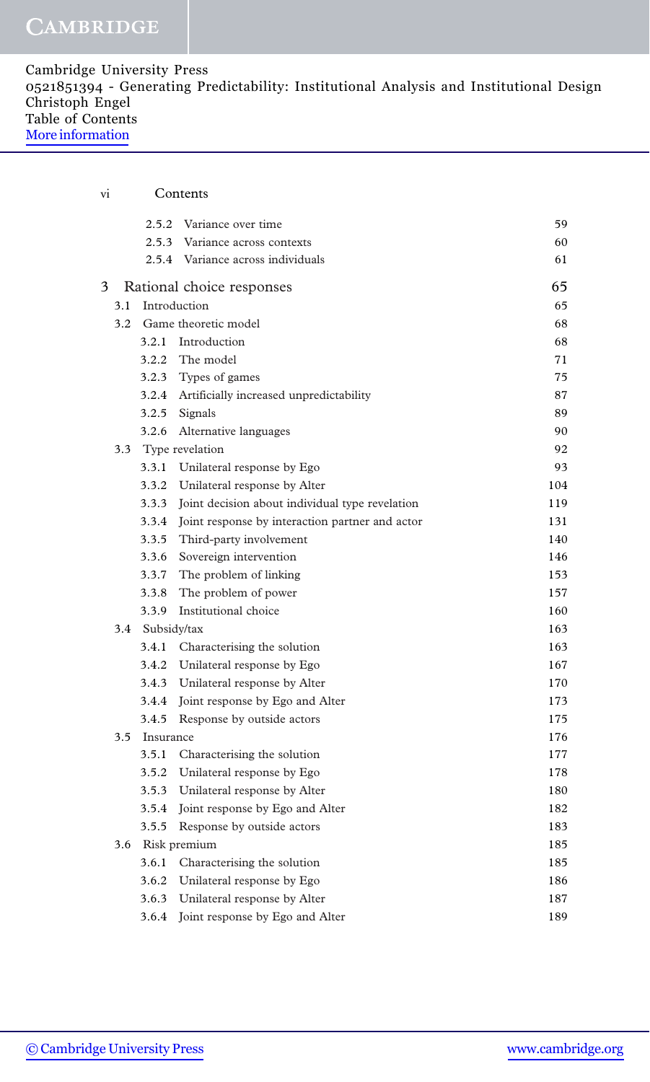| Cambridge University Press                                                              |  |
|-----------------------------------------------------------------------------------------|--|
| 0521851394 - Generating Predictability: Institutional Analysis and Institutional Design |  |
| Christoph Engel                                                                         |  |
| Table of Contents                                                                       |  |
| More information                                                                        |  |

| vi |               |                 | Contents                                              |     |
|----|---------------|-----------------|-------------------------------------------------------|-----|
|    |               |                 | 2.5.2 Variance over time                              | 59  |
|    |               |                 | 2.5.3 Variance across contexts                        | 60  |
|    |               |                 | 2.5.4 Variance across individuals                     | 61  |
| 3  |               |                 | Rational choice responses                             | 65  |
|    | 3.1           |                 | Introduction                                          | 65  |
|    |               |                 | 3.2 Game theoretic model                              | 68  |
|    |               |                 | 3.2.1 Introduction                                    | 68  |
|    |               | 3.2.2           | The model                                             | 71  |
|    |               |                 | 3.2.3 Types of games                                  | 75  |
|    |               |                 | 3.2.4 Artificially increased unpredictability         | 87  |
|    |               |                 | 3.2.5 Signals                                         | 89  |
|    |               |                 | 3.2.6 Alternative languages                           | 90  |
|    | $3.3^{\circ}$ |                 | Type revelation                                       | 92  |
|    |               |                 | 3.3.1 Unilateral response by Ego                      | 93  |
|    |               |                 | 3.3.2 Unilateral response by Alter                    | 104 |
|    |               | 3.3.3           | Joint decision about individual type revelation       | 119 |
|    |               |                 | 3.3.4 Joint response by interaction partner and actor | 131 |
|    |               |                 | 3.3.5 Third-party involvement                         | 140 |
|    |               |                 | 3.3.6 Sovereign intervention                          | 146 |
|    |               |                 | 3.3.7 The problem of linking                          | 153 |
|    |               |                 | 3.3.8 The problem of power                            | 157 |
|    |               | 3.3.9           | Institutional choice                                  | 160 |
|    |               | 3.4 Subsidy/tax |                                                       | 163 |
|    |               |                 | 3.4.1 Characterising the solution                     | 163 |
|    |               |                 | 3.4.2 Unilateral response by Ego                      | 167 |
|    |               |                 | 3.4.3 Unilateral response by Alter                    | 170 |
|    |               |                 | 3.4.4 Joint response by Ego and Alter                 | 173 |
|    |               | 3.4.5           | Response by outside actors                            | 175 |
|    | $3.5^{\circ}$ | Insurance       |                                                       | 176 |
|    |               |                 | 3.5.1 Characterising the solution                     | 177 |
|    |               |                 | 3.5.2 Unilateral response by Ego                      | 178 |
|    |               |                 | 3.5.3 Unilateral response by Alter                    | 180 |
|    |               |                 | 3.5.4 Joint response by Ego and Alter                 | 182 |
|    |               | 3.5.5           | Response by outside actors                            | 183 |
|    | 3.6           |                 | Risk premium                                          | 185 |
|    |               |                 | 3.6.1 Characterising the solution                     | 185 |
|    |               |                 | 3.6.2 Unilateral response by Ego                      | 186 |
|    |               |                 | 3.6.3 Unilateral response by Alter                    | 187 |
|    |               | 3.6.4           | Joint response by Ego and Alter                       | 189 |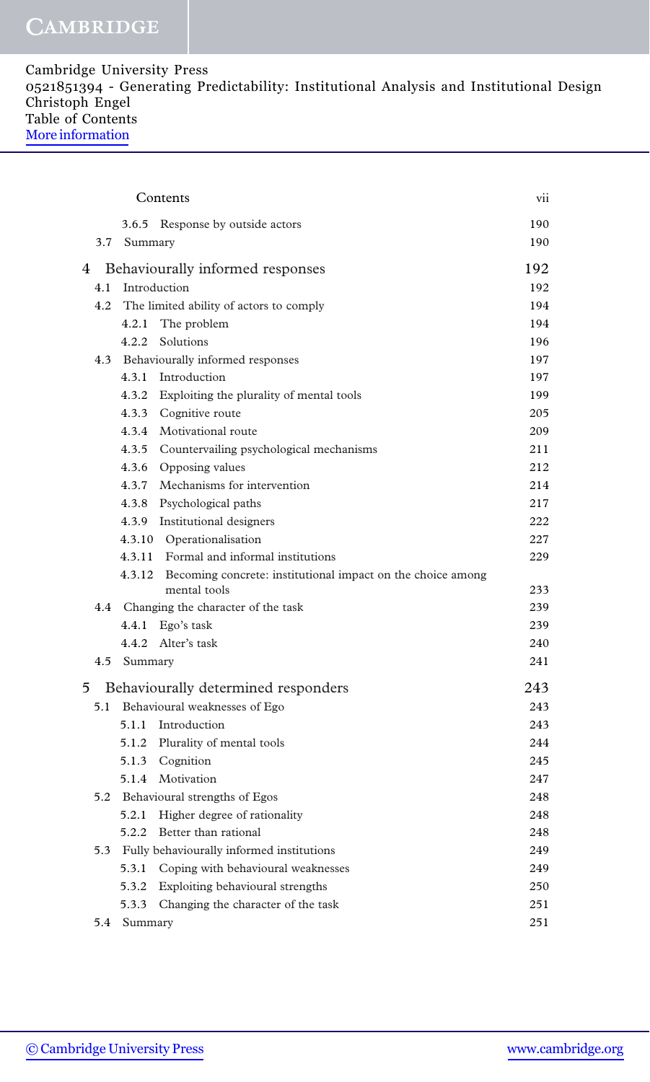## CAMBRIDGE

| Cambridge University Press                                                              |  |
|-----------------------------------------------------------------------------------------|--|
| 0521851394 - Generating Predictability: Institutional Analysis and Institutional Design |  |
| Christoph Engel                                                                         |  |
| Table of Contents                                                                       |  |
| More information                                                                        |  |

| Contents |                                                                                    |            |  |
|----------|------------------------------------------------------------------------------------|------------|--|
|          | 3.6.5 Response by outside actors                                                   | 190        |  |
| 3.7      | Summary                                                                            | 190        |  |
| 4        | Behaviourally informed responses                                                   |            |  |
| 4.1      | Introduction                                                                       | 192<br>192 |  |
| 4.2      | The limited ability of actors to comply                                            | 194        |  |
|          | The problem<br>4.2.1                                                               | 194        |  |
|          | 4.2.2<br>Solutions                                                                 | 196        |  |
|          | 4.3 Behaviourally informed responses                                               | 197        |  |
|          | 4.3.1 Introduction                                                                 | 197        |  |
|          | 4.3.2 Exploiting the plurality of mental tools                                     | 199        |  |
|          | 4.3.3 Cognitive route                                                              | 205        |  |
|          | 4.3.4 Motivational route                                                           | 209        |  |
|          | 4.3.5 Countervailing psychological mechanisms                                      | 211        |  |
|          | 4.3.6 Opposing values                                                              | 212        |  |
|          | 4.3.7 Mechanisms for intervention                                                  | 214        |  |
|          | 4.3.8 Psychological paths                                                          | 217        |  |
|          | 4.3.9 Institutional designers                                                      | 222        |  |
|          | 4.3.10 Operationalisation                                                          | 227        |  |
|          | 4.3.11 Formal and informal institutions                                            | 229        |  |
|          | 4.3.12 Becoming concrete: institutional impact on the choice among<br>mental tools | 233        |  |
|          | 4.4 Changing the character of the task                                             | 239        |  |
|          | Ego's task<br>4.4.1                                                                | 239        |  |
|          | 4.4.2 Alter's task                                                                 | 240        |  |
|          | 4.5 Summary                                                                        | 241        |  |
| 5        | Behaviourally determined responders                                                | 243        |  |
|          | 5.1 Behavioural weaknesses of Ego                                                  | 243        |  |
|          | 5.1.1 Introduction                                                                 | 243        |  |
|          | 5.1.2 Plurality of mental tools                                                    | 244        |  |
|          | 5.1.3 Cognition                                                                    | 245        |  |
|          | 5.1.4 Motivation                                                                   | 247        |  |
|          | 5.2 Behavioural strengths of Egos                                                  | 248        |  |
|          | 5.2.1 Higher degree of rationality                                                 | 248        |  |
|          | 5.2.2 Better than rational                                                         | 248        |  |
|          | 5.3 Fully behaviourally informed institutions                                      | 249        |  |
|          | 5.3.1 Coping with behavioural weaknesses                                           | 249        |  |
|          | 5.3.2 Exploiting behavioural strengths                                             | 250        |  |
|          | 5.3.3<br>Changing the character of the task                                        | 251        |  |
|          | 5.4 Summary                                                                        | 251        |  |